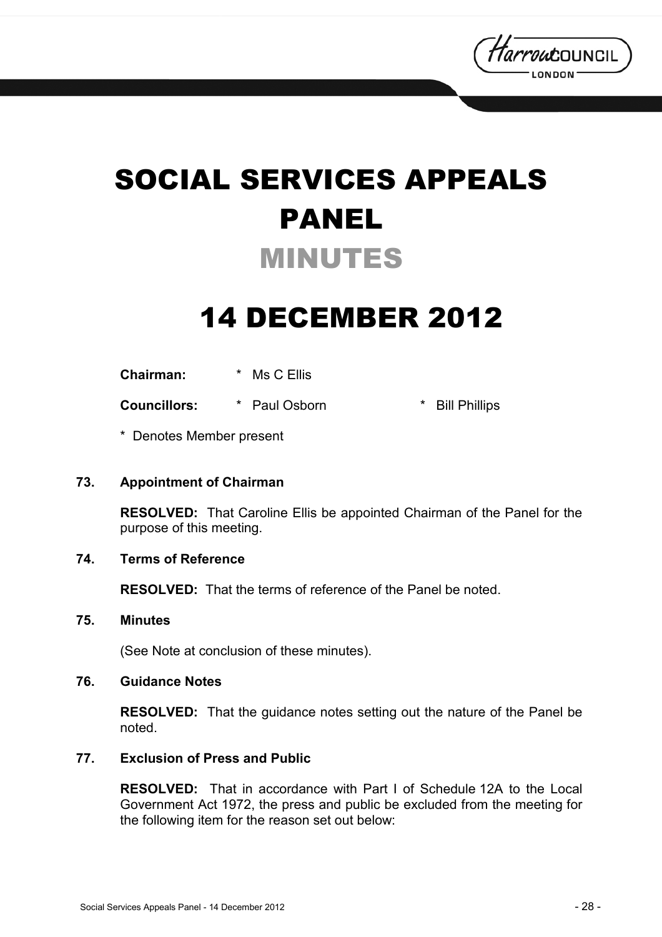

# SOCIAL SERVICES APPEALS PANEL MINUTES

## 14 DECEMBER 2012

**Chairman:** \* Ms C Ellis

**Councillors:**  $*$  Paul Osborn  $*$  Bill Phillips

\* Denotes Member present

#### **73. Appointment of Chairman**

**RESOLVED:** That Caroline Ellis be appointed Chairman of the Panel for the purpose of this meeting.

### **74. Terms of Reference**

**RESOLVED:** That the terms of reference of the Panel be noted.

#### **75. Minutes**

(See Note at conclusion of these minutes).

#### **76. Guidance Notes**

**RESOLVED:** That the guidance notes setting out the nature of the Panel be noted.

### **77. Exclusion of Press and Public**

**RESOLVED:** That in accordance with Part I of Schedule 12A to the Local Government Act 1972, the press and public be excluded from the meeting for the following item for the reason set out below: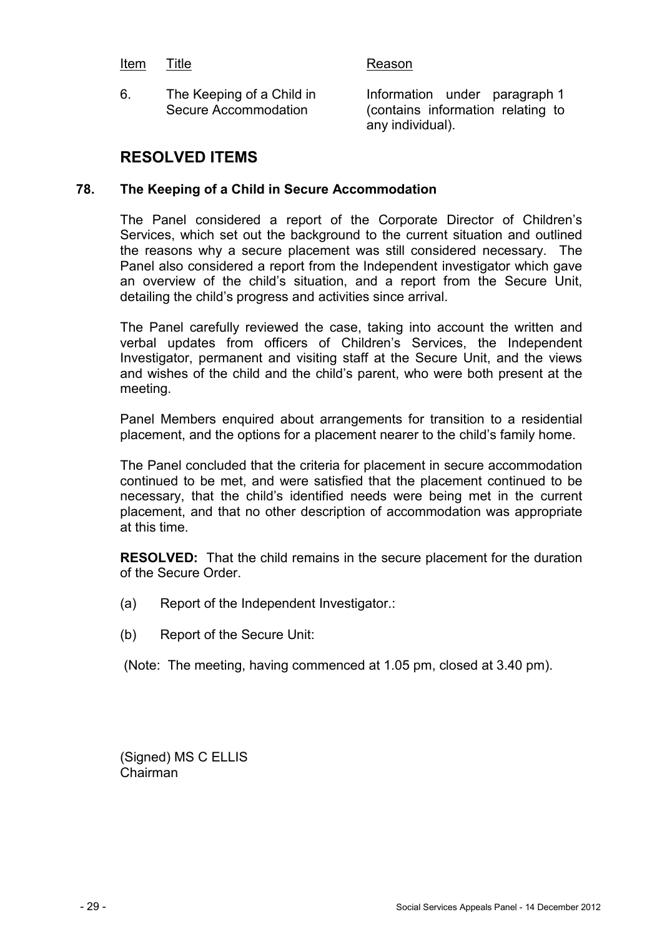#### Item Title **Reason**

6. The Keeping of a Child in Secure Accommodation

Information under paragraph 1 (contains information relating to any individual).

### **RESOLVED ITEMS**

#### **78. The Keeping of a Child in Secure Accommodation**

The Panel considered a report of the Corporate Director of Children's Services, which set out the background to the current situation and outlined the reasons why a secure placement was still considered necessary. The Panel also considered a report from the Independent investigator which gave an overview of the child's situation, and a report from the Secure Unit, detailing the child's progress and activities since arrival.

The Panel carefully reviewed the case, taking into account the written and verbal updates from officers of Children's Services, the Independent Investigator, permanent and visiting staff at the Secure Unit, and the views and wishes of the child and the child's parent, who were both present at the meeting.

Panel Members enquired about arrangements for transition to a residential placement, and the options for a placement nearer to the child's family home.

The Panel concluded that the criteria for placement in secure accommodation continued to be met, and were satisfied that the placement continued to be necessary, that the child's identified needs were being met in the current placement, and that no other description of accommodation was appropriate at this time.

**RESOLVED:** That the child remains in the secure placement for the duration of the Secure Order.

- (a) Report of the Independent Investigator.:
- (b) Report of the Secure Unit:
- (Note: The meeting, having commenced at 1.05 pm, closed at 3.40 pm).

(Signed) MS C ELLIS Chairman